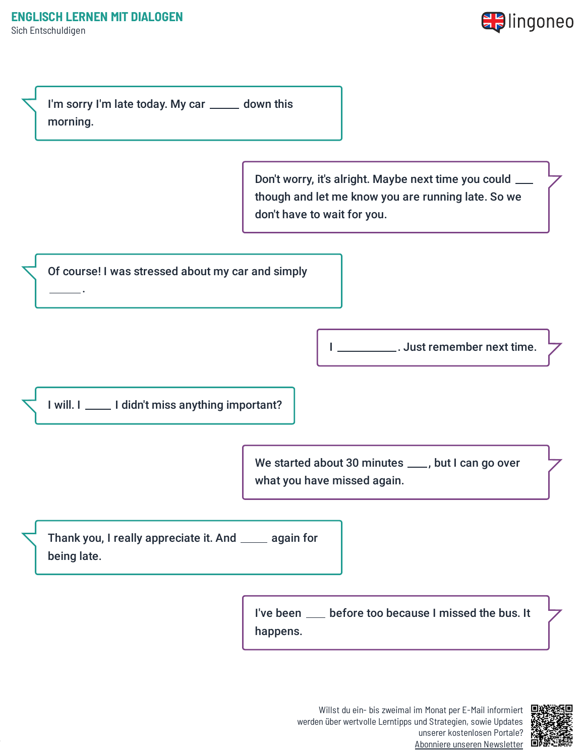